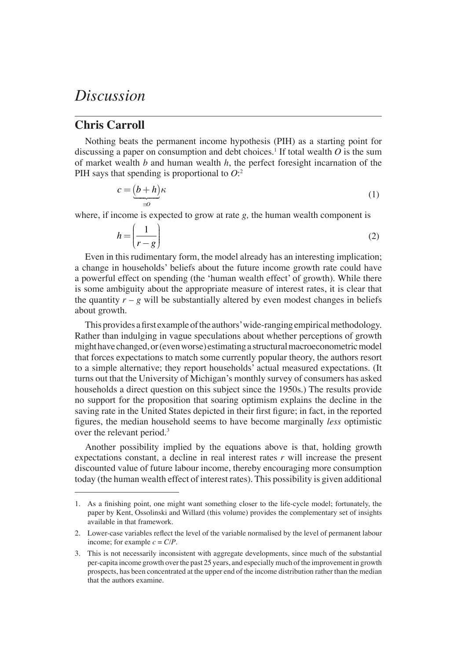## *Discussion*

## **Chris Carroll**

Nothing beats the permanent income hypothesis (PIH) as a starting point for discussing a paper on consumption and debt choices.<sup>1</sup> If total wealth  $O$  is the sum of market wealth *b* and human wealth *h*, the perfect foresight incarnation of the PIH says that spending is proportional to *O*: 2

$$
c = \underbrace{(b+h)}_{\equiv 0} \kappa \tag{1}
$$

where, if income is expected to grow at rate *g,* the human wealth component is

$$
h = \left(\frac{1}{r - g}\right) \tag{2}
$$

Even in this rudimentary form, the model already has an interesting implication; a change in households' beliefs about the future income growth rate could have a powerful effect on spending (the 'human wealth effect' of growth). While there is some ambiguity about the appropriate measure of interest rates, it is clear that the quantity  $r - g$  will be substantially altered by even modest changes in beliefs about growth.

This provides a first example of the authors' wide-ranging empirical methodology. Rather than indulging in vague speculations about whether perceptions of growth might have changed, or (even worse) estimating a structural macroeconometric model that forces expectations to match some currently popular theory, the authors resort to a simple alternative; they report households' actual measured expectations. (It turns out that the University of Michigan's monthly survey of consumers has asked households a direct question on this subject since the 1950s.) The results provide no support for the proposition that soaring optimism explains the decline in the saving rate in the United States depicted in their first figure; in fact, in the reported fi gures, the median household seems to have become marginally *less* optimistic over the relevant period.<sup>3</sup>

Another possibility implied by the equations above is that, holding growth expectations constant, a decline in real interest rates *r* will increase the present discounted value of future labour income, thereby encouraging more consumption today (the human wealth effect of interest rates). This possibility is given additional

<sup>1.</sup> As a finishing point, one might want something closer to the life-cycle model; fortunately, the paper by Kent, Ossolinski and Willard (this volume) provides the complementary set of insights available in that framework.

<sup>2.</sup> Lower-case variables reflect the level of the variable normalised by the level of permanent labour income; for example  $c = C/P$ .

<sup>3.</sup> This is not necessarily inconsistent with aggregate developments, since much of the substantial per-capita income growth over the past 25 years, and especially much of the improvement in growth prospects, has been concentrated at the upper end of the income distribution rather than the median that the authors examine.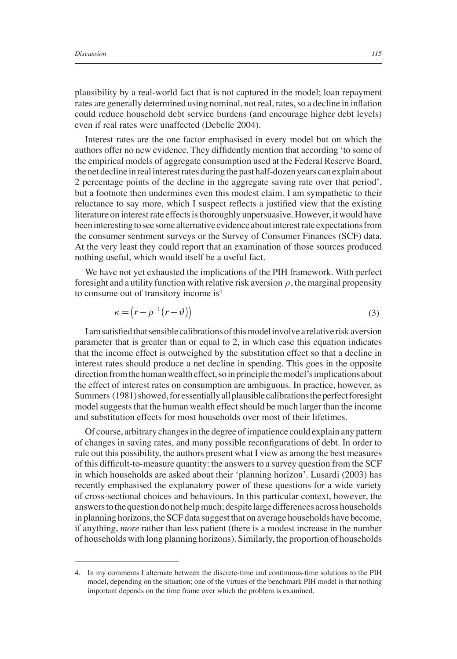plausibility by a real-world fact that is not captured in the model; loan repayment rates are generally determined using nominal, not real, rates, so a decline in inflation could reduce household debt service burdens (and encourage higher debt levels) even if real rates were unaffected (Debelle 2004).

Interest rates are the one factor emphasised in every model but on which the authors offer no new evidence. They diffidently mention that according 'to some of the empirical models of aggregate consumption used at the Federal Reserve Board, the net decline in real interest rates during the past half-dozen years can explain about 2 percentage points of the decline in the aggregate saving rate over that period', but a footnote then undermines even this modest claim. I am sympathetic to their reluctance to say more, which I suspect reflects a justified view that the existing literature on interest rate effects is thoroughly unpersuasive. However, it would have been interesting to see some alternative evidence about interest rate expectations from the consumer sentiment surveys or the Survey of Consumer Finances (SCF) data. At the very least they could report that an examination of those sources produced nothing useful, which would itself be a useful fact.

We have not yet exhausted the implications of the PIH framework. With perfect foresight and a utility function with relative risk aversion  $\rho$ , the marginal propensity to consume out of transitory income is<sup>4</sup>

$$
\kappa = \left(r - \rho^{-1}(r - \vartheta)\right) \tag{3}
$$

I am satisfied that sensible calibrations of this model involve a relative risk aversion parameter that is greater than or equal to 2, in which case this equation indicates that the income effect is outweighed by the substitution effect so that a decline in interest rates should produce a net decline in spending. This goes in the opposite direction from the human wealth effect, so in principle the model's implications about the effect of interest rates on consumption are ambiguous. In practice, however, as Summers (1981) showed, for essentially all plausible calibrations the perfect foresight model suggests that the human wealth effect should be much larger than the income and substitution effects for most households over most of their lifetimes.

Of course, arbitrary changes in the degree of impatience could explain any pattern of changes in saving rates, and many possible reconfigurations of debt. In order to rule out this possibility, the authors present what I view as among the best measures of this difficult-to-measure quantity: the answers to a survey question from the SCF in which households are asked about their 'planning horizon'. Lusardi (2003) has recently emphasised the explanatory power of these questions for a wide variety of cross-sectional choices and behaviours. In this particular context, however, the answers to the question do not help much; despite large differences across households in planning horizons, the SCF data suggest that on average households have become, if anything, *more* rather than less patient (there is a modest increase in the number of households with long planning horizons). Similarly, the proportion of households

<sup>4.</sup> In my comments I alternate between the discrete-time and continuous-time solutions to the PIH model, depending on the situation; one of the virtues of the benchmark PIH model is that nothing important depends on the time frame over which the problem is examined.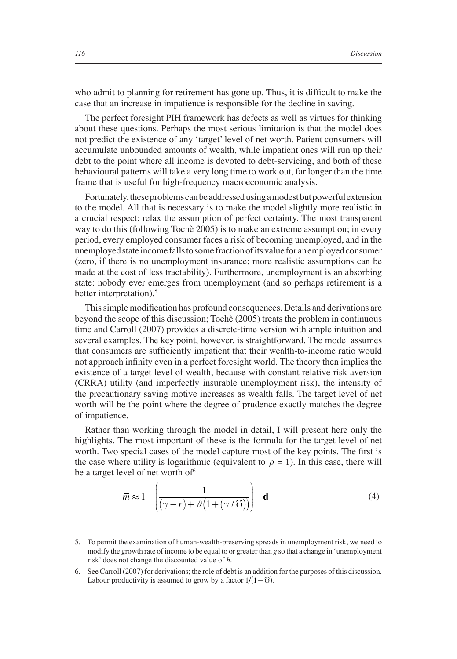who admit to planning for retirement has gone up. Thus, it is difficult to make the case that an increase in impatience is responsible for the decline in saving.

The perfect foresight PIH framework has defects as well as virtues for thinking about these questions. Perhaps the most serious limitation is that the model does not predict the existence of any 'target' level of net worth. Patient consumers will accumulate unbounded amounts of wealth, while impatient ones will run up their debt to the point where all income is devoted to debt-servicing, and both of these behavioural patterns will take a very long time to work out, far longer than the time frame that is useful for high-frequency macroeconomic analysis.

Fortunately, these problems can be addressed using a modest but powerful extension to the model. All that is necessary is to make the model slightly more realistic in a crucial respect: relax the assumption of perfect certainty. The most transparent way to do this (following Tochè 2005) is to make an extreme assumption; in every period, every employed consumer faces a risk of becoming unemployed, and in the unemployed state income falls to some fraction of its value for an employed consumer (zero, if there is no unemployment insurance; more realistic assumptions can be made at the cost of less tractability). Furthermore, unemployment is an absorbing state: nobody ever emerges from unemployment (and so perhaps retirement is a better interpretation).<sup>5</sup>

This simple modification has profound consequences. Details and derivations are beyond the scope of this discussion; Tochè (2005) treats the problem in continuous time and Carroll (2007) provides a discrete-time version with ample intuition and several examples. The key point, however, is straightforward. The model assumes that consumers are sufficiently impatient that their wealth-to-income ratio would not approach infinity even in a perfect foresight world. The theory then implies the existence of a target level of wealth, because with constant relative risk aversion (CRRA) utility (and imperfectly insurable unemployment risk), the intensity of the precautionary saving motive increases as wealth falls. The target level of net worth will be the point where the degree of prudence exactly matches the degree of impatience.

Rather than working through the model in detail, I will present here only the highlights. The most important of these is the formula for the target level of net worth. Two special cases of the model capture most of the key points. The first is the case where utility is logarithmic (equivalent to  $\rho = 1$ ). In this case, there will be a target level of net worth of  $6$ 

$$
\overline{m} \approx 1 + \left(\frac{1}{(\gamma - r) + \vartheta \left(1 + (\gamma / \mathcal{U})\right)}\right) - \mathbf{d}
$$
 (4)

<sup>5.</sup> To permit the examination of human-wealth-preserving spreads in unemployment risk, we need to modify the growth rate of income to be equal to or greater than *g* so that a change in 'unemployment risk' does not change the discounted value of *h*.

<sup>6.</sup> See Carroll (2007) for derivations; the role of debt is an addition for the purposes of this discussion. Labour productivity is assumed to grow by a factor  $1/(1 - \sigma)$ .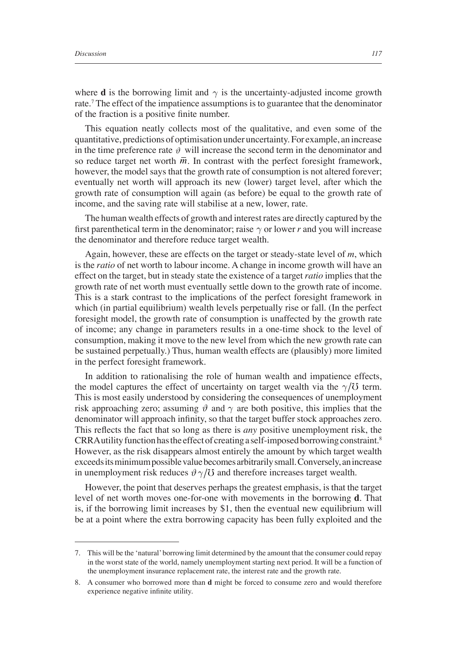where **d** is the borrowing limit and  $\gamma$  is the uncertainty-adjusted income growth rate.<sup>7</sup> The effect of the impatience assumptions is to guarantee that the denominator of the fraction is a positive finite number.

This equation neatly collects most of the qualitative, and even some of the quantitative, predictions of optimisation under uncertainty. For example, an increase in the time preference rate  $\vartheta$  will increase the second term in the denominator and so reduce target net worth  $\overline{m}$ . In contrast with the perfect foresight framework, however, the model says that the growth rate of consumption is not altered forever; eventually net worth will approach its new (lower) target level, after which the growth rate of consumption will again (as before) be equal to the growth rate of income, and the saving rate will stabilise at a new, lower, rate.

The human wealth effects of growth and interest rates are directly captured by the first parenthetical term in the denominator; raise  $\gamma$  or lower *r* and you will increase the denominator and therefore reduce target wealth.

Again, however, these are effects on the target or steady-state level of *m*, which is the *ratio* of net worth to labour income. A change in income growth will have an effect on the target, but in steady state the existence of a target *ratio* implies that the growth rate of net worth must eventually settle down to the growth rate of income. This is a stark contrast to the implications of the perfect foresight framework in which (in partial equilibrium) wealth levels perpetually rise or fall. (In the perfect foresight model, the growth rate of consumption is unaffected by the growth rate of income; any change in parameters results in a one-time shock to the level of consumption, making it move to the new level from which the new growth rate can be sustained perpetually.) Thus, human wealth effects are (plausibly) more limited in the perfect foresight framework.

In addition to rationalising the role of human wealth and impatience effects, the model captures the effect of uncertainty on target wealth via the  $\gamma/\sigma$  term. This is most easily understood by considering the consequences of unemployment risk approaching zero; assuming  $\vartheta$  and  $\gamma$  are both positive, this implies that the denominator will approach infinity, so that the target buffer stock approaches zero. This reflects the fact that so long as there is *any* positive unemployment risk, the CRRA utility function has the effect of creating a self-imposed borrowing constraint.8 However, as the risk disappears almost entirely the amount by which target wealth exceeds its minimum possible value becomes arbitrarily small. Conversely, an increase in unemployment risk reduces  $\vartheta \gamma/\mathcal{O}$  and therefore increases target wealth.

However, the point that deserves perhaps the greatest emphasis, is that the target level of net worth moves one-for-one with movements in the borrowing **d**. That is, if the borrowing limit increases by  $$1$ , then the eventual new equilibrium will be at a point where the extra borrowing capacity has been fully exploited and the

<sup>7.</sup> This will be the 'natural' borrowing limit determined by the amount that the consumer could repay in the worst state of the world, namely unemployment starting next period. It will be a function of the unemployment insurance replacement rate, the interest rate and the growth rate.

<sup>8.</sup> A consumer who borrowed more than **d** might be forced to consume zero and would therefore experience negative infinite utility.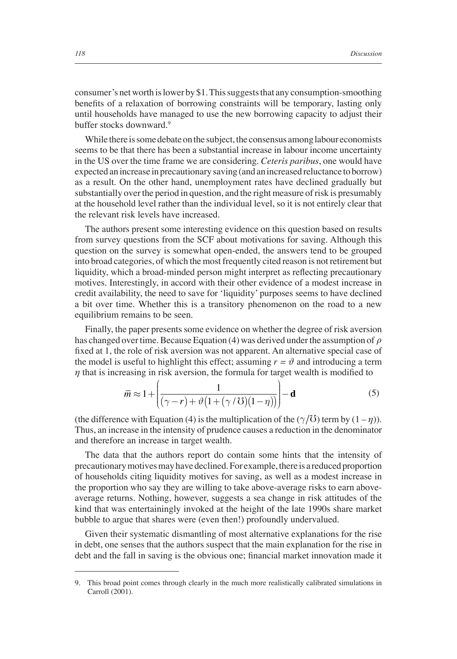consumer's net worth is lower by \$1. This suggests that any consumption-smoothing benefits of a relaxation of borrowing constraints will be temporary, lasting only until households have managed to use the new borrowing capacity to adjust their buffer stocks downward.<sup>9</sup>

While there is some debate on the subject, the consensus among labour economists seems to be that there has been a substantial increase in labour income uncertainty in the US over the time frame we are considering. *Ceteris paribus*, one would have expected an increase in precautionary saving (and an increased reluctance to borrow) as a result. On the other hand, unemployment rates have declined gradually but substantially over the period in question, and the right measure of risk is presumably at the household level rather than the individual level, so it is not entirely clear that the relevant risk levels have increased.

The authors present some interesting evidence on this question based on results from survey questions from the SCF about motivations for saving. Although this question on the survey is somewhat open-ended, the answers tend to be grouped into broad categories, of which the most frequently cited reason is not retirement but liquidity, which a broad-minded person might interpret as reflecting precautionary motives. Interestingly, in accord with their other evidence of a modest increase in credit availability, the need to save for 'liquidity' purposes seems to have declined a bit over time. Whether this is a transitory phenomenon on the road to a new equilibrium remains to be seen.

Finally, the paper presents some evidence on whether the degree of risk aversion has changed over time. Because Equation (4) was derived under the assumption of *ρ* fixed at 1, the role of risk aversion was not apparent. An alternative special case of the model is useful to highlight this effect; assuming  $r = \vartheta$  and introducing a term  $\eta$  that is increasing in risk aversion, the formula for target wealth is modified to

$$
\overline{m} \approx 1 + \left( \frac{1}{(\gamma - r) + \vartheta \left( 1 + (\gamma / \Im) (1 - \eta) \right)} \right) - \mathbf{d} \tag{5}
$$

(the difference with Equation (4) is the multiplication of the  $(\gamma/\mathcal{O})$  term by  $(1 - \eta)$ ). Thus, an increase in the intensity of prudence causes a reduction in the denominator and therefore an increase in target wealth.

The data that the authors report do contain some hints that the intensity of precautionary motives may have declined. For example, there is a reduced proportion of households citing liquidity motives for saving, as well as a modest increase in the proportion who say they are willing to take above-average risks to earn aboveaverage returns. Nothing, however, suggests a sea change in risk attitudes of the kind that was entertainingly invoked at the height of the late 1990s share market bubble to argue that shares were (even then!) profoundly undervalued.

Given their systematic dismantling of most alternative explanations for the rise in debt, one senses that the authors suspect that the main explanation for the rise in debt and the fall in saving is the obvious one; financial market innovation made it

<sup>9.</sup> This broad point comes through clearly in the much more realistically calibrated simulations in Carroll (2001).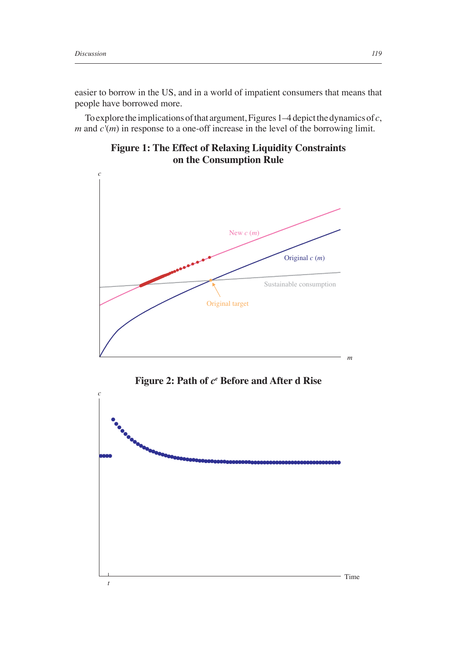easier to borrow in the US, and in a world of impatient consumers that means that people have borrowed more.

To explore the implications of that argument, Figures 1–4 depict the dynamics of *c*, *m* and  $c'(m)$  in response to a one-off increase in the level of the borrowing limit.

**Figure 1: The Effect of Relaxing Liquidity Constraints on the Consumption Rule**



**Figure 2: Path of** *ce*  **Before and After d Rise**

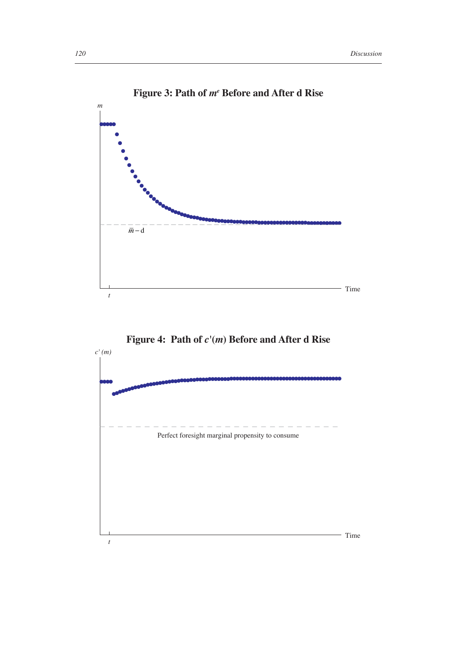

## **Figure 3: Path of** *me*  **Before and After d Rise**



**Figure 4: Path of** *c'***(***m***) Before and After d Rise**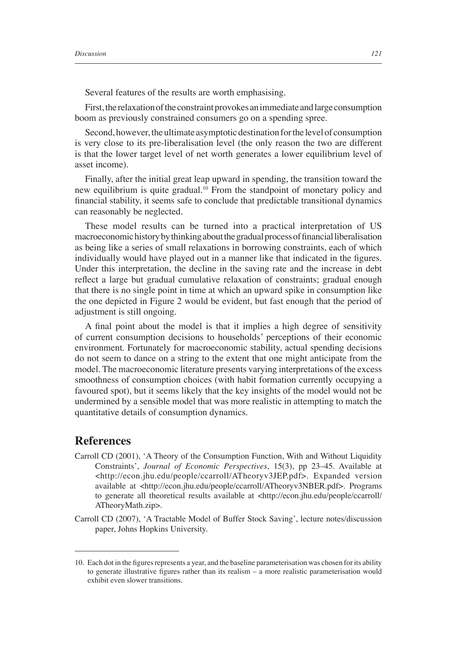Several features of the results are worth emphasising.

First, the relaxation of the constraint provokes an immediate and large consumption boom as previously constrained consumers go on a spending spree.

Second, however, the ultimate asymptotic destination for the level of consumption is very close to its pre-liberalisation level (the only reason the two are different is that the lower target level of net worth generates a lower equilibrium level of asset income).

Finally, after the initial great leap upward in spending, the transition toward the new equilibrium is quite gradual.10 From the standpoint of monetary policy and financial stability, it seems safe to conclude that predictable transitional dynamics can reasonably be neglected.

These model results can be turned into a practical interpretation of US macroeconomic history by thinking about the gradual process of financial liberalisation as being like a series of small relaxations in borrowing constraints, each of which individually would have played out in a manner like that indicated in the figures. Under this interpretation, the decline in the saving rate and the increase in debt reflect a large but gradual cumulative relaxation of constraints; gradual enough that there is no single point in time at which an upward spike in consumption like the one depicted in Figure 2 would be evident, but fast enough that the period of adjustment is still ongoing.

A final point about the model is that it implies a high degree of sensitivity of current consumption decisions to households' perceptions of their economic environment. Fortunately for macroeconomic stability, actual spending decisions do not seem to dance on a string to the extent that one might anticipate from the model. The macroeconomic literature presents varying interpretations of the excess smoothness of consumption choices (with habit formation currently occupying a favoured spot), but it seems likely that the key insights of the model would not be undermined by a sensible model that was more realistic in attempting to match the quantitative details of consumption dynamics.

## **References**

- Carroll CD (2001), 'A Theory of the Consumption Function, With and Without Liquidity Constraints', *Journal of Economic Perspectives*, 15(3), pp 23–45. Available at <http://econ.jhu.edu/people/ccarroll/ATheoryv3JEP.pdf>. Expanded version available at <http://econ.jhu.edu/people/ccarroll/ATheoryv3NBER.pdf>. Programs to generate all theoretical results available at <http://econ.jhu.edu/people/ccarroll/ ATheoryMath.zip>.
- Carroll CD (2007), 'A Tractable Model of Buffer Stock Saving', lecture notes/discussion paper, Johns Hopkins University.

<sup>10.</sup> Each dot in the figures represents a year, and the baseline parameterisation was chosen for its ability to generate illustrative figures rather than its realism  $-$  a more realistic parameterisation would exhibit even slower transitions.